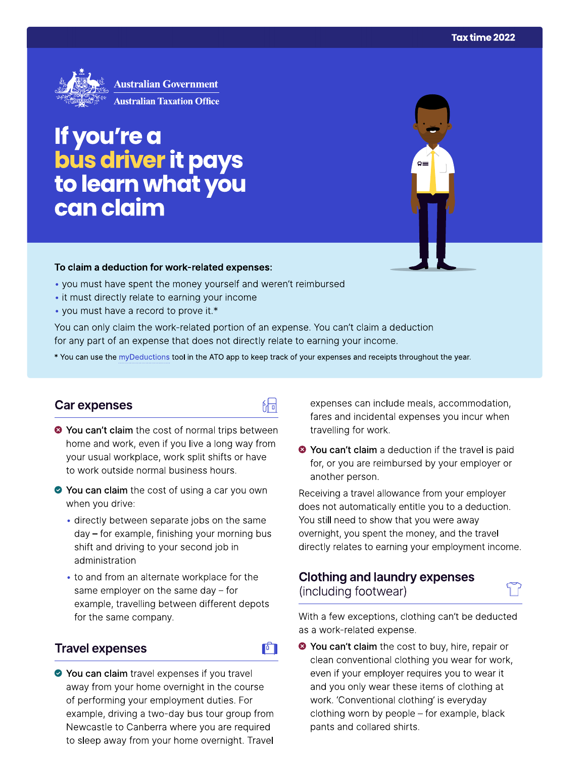

# If you're a<br>bus driver it pays<br>to learn what you can claim

#### To claim a deduction for work-related expenses:

- you must have spent the money yourself and weren't reimbursed
- it must directly relate to earning your income
- you must have a record to prove it.\*

You can only claim the work-related portion of an expense. You can't claim a deduction for any part of an expense that does not directly relate to earning your income.

\* You can use the myDeductions tool in the ATO app to keep track of your expenses and receipts throughout the year.

品

### Car expenses

- <sup>3</sup> You can't claim the cost of normal trips between home and work, even if you live a long way from your usual workplace, work split shifts or have to work outside normal business hours.
- ◆ You can claim the cost of using a car you own when you drive:
	- · directly between separate jobs on the same day – for example, finishing your morning bus shift and driving to your second job in administration
	- to and from an alternate workplace for the same employer on the same day  $-$  for example, travelling between different depots for the same company.

## **Travel expenses**



◆ You can claim travel expenses if you travel away from your home overnight in the course of performing your employment duties. For example, driving a two-day bus tour group from Newcastle to Canberra where you are required to sleep away from your home overnight. Travel

expenses can include meals, accommodation, fares and incidental expenses you incur when travelling for work.

<sup>●</sup> You can't claim a deduction if the travel is paid for, or you are reimbursed by your employer or another person.

Receiving a travel allowance from your employer does not automatically entitle you to a deduction. You still need to show that you were away overnight, you spent the money, and the travel directly relates to earning your employment income.

## **Clothing and laundry expenses** (including footwear)

With a few exceptions, clothing can't be deducted as a work-related expense.

<sup>◆</sup> You can't claim the cost to buy, hire, repair or clean conventional clothing you wear for work, even if your employer requires you to wear it and you only wear these items of clothing at work. 'Conventional clothing' is everyday clothing worn by people – for example, black pants and collared shirts.